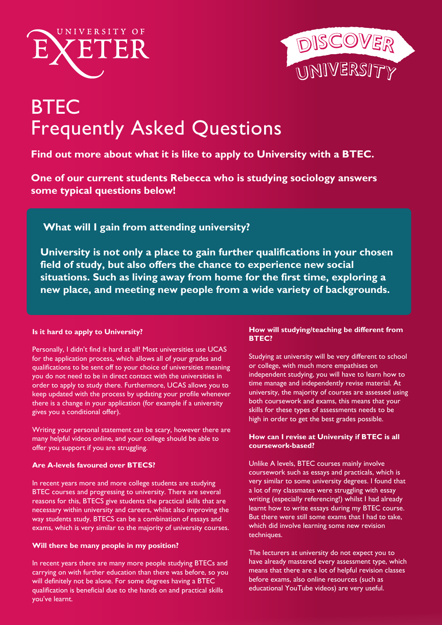



# **BTEC** Frequently Asked Questions

# **Find out more about what it is like to apply to University with a BTEC.**

**One of our current students Rebecca who is studying sociology answers some typical questions below!** 

 **What will I gain from attending university?** 

**University is not only a place to gain further qualifications in your chosen field of study, but also offers the chance to experience new social situations. Such as living away from home for the first time, exploring a new place, and meeting new people from a wide variety of backgrounds.** 

# **Is it hard to apply to University?**

Personally, I didn't find it hard at all! Most universities use UCAS for the application process, which allows all of your grades and qualifications to be sent off to your choice of universities meaning you do not need to be in direct contact with the universities in order to apply to study there. Furthermore, UCAS allows you to keep updated with the process by updating your profile whenever there is a change in your application (for example if a university gives you a conditional offer).

Writing your personal statement can be scary, however there are many helpful videos online, and your college should be able to offer you support if you are struggling.

# **Are A-levels favoured over BTECS?**

In recent years more and more college students are studying BTEC courses and progressing to university. There are several reasons for this, BTECS give students the practical skills that are necessary within university and careers, whilst also improving the way students study. BTECS can be a combination of essays and exams, which is very similar to the majority of university courses.

# **Will there be many people in my position?**

In recent years there are many more people studying BTECs and carrying on with further education than there was before, so you will definitely not be alone. For some degrees having a BTEC qualification is beneficial due to the hands on and practical skills you've learnt.

# **How will studying/teaching be different from BTEC?**

Studying at university will be very different to school or college, with much more empathises on independent studying, you will have to learn how to time manage and independently revise material. At [university,](https://www.gov.uk/find-a-job) the majority of courses are assessed using both coursework and exams, this means that your [skills f](https://www.indeed.co.uk)or these types of assessments needs to be [high](https://www.reed.co.uk  ) in order to get the best grades possible.

# **How can I revise at University if BTEC is all coursework-based?**

Unlike A levels, BTEC courses mainly involve coursework such as essays and practicals, which is [very similar to some u](http://exeter.ac.uk/ambassadors)niversity degrees. I found that a lot of my classmates were struggling with essay writing (especially referencing!) whilst I had already learnt how to write essays during my BTEC course. [But there were still some exams that I had to](http://exeter.ac.uk/staff/employment/tempworkers/tsb) take, which did involve learning some new revision techniques.

[The lecturers at university do not expect you to](http://unibuddy.co/embed/university-of-exeter/colour/5e2163/buddies/students)  have already mastered every assessment type, which means that there are a lot of helpful revision classes before exams, also online resources (such as [educational YouTube videos\)](http://savethestudent.org/student-jobs) are very useful.